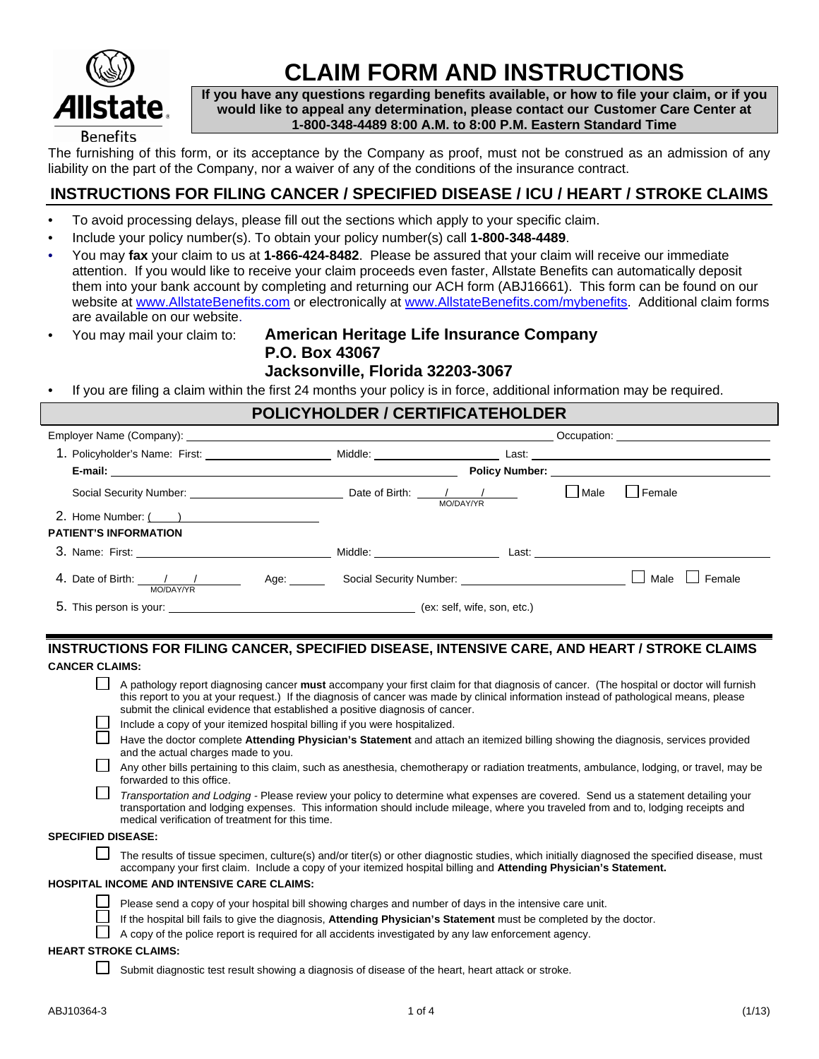

# **CLAIM FORM AND INSTRUCTIONS**

**If you have any questions regarding benefits available, or how to file your claim, or if you would like to appeal any determination, please contact our Customer Care Center at 1-800-348-4489 8:00 A.M. to 8:00 P.M. Eastern Standard Time**

The furnishing of this form, or its acceptance by the Company as proof, must not be construed as an admission of any liability on the part of the Company, nor a waiver of any of the conditions of the insurance contract.

# **INSTRUCTIONS FOR FILING CANCER / SPECIFIED DISEASE / ICU / HEART / STROKE CLAIMS**

- To avoid processing delays, please fill out the sections which apply to your specific claim.
- Include your policy number(s). To obtain your policy number(s) call **1-800-348-4489**.
- You may **fax** your claim to us at **1-866-424-8482**. Please be assured that your claim will receive our immediate attention. If you would like to receive your claim proceeds even faster, Allstate Benefits can automatically deposit them into your bank account by completing and returning our ACH form (ABJ16661). This form can be found on our website at www.AllstateBenefits.com or electronically at www.AllstateBenefits.com/mybenefits. Additional claim forms are available on our website.
- 

# • You may mail your claim to: **American Heritage Life Insurance Company P.O. Box 43067 Jacksonville, Florida 32203-3067**

• If you are filing a claim within the first 24 months your policy is in force, additional information may be required.

| POLICYHOLDER / CERTIFICATEHOLDER                                                                                            |                                                                                                                                                                                                                                      |           |      |                |  |  |  |  |
|-----------------------------------------------------------------------------------------------------------------------------|--------------------------------------------------------------------------------------------------------------------------------------------------------------------------------------------------------------------------------------|-----------|------|----------------|--|--|--|--|
|                                                                                                                             | Occupation: <u>contract and contract and contract and contract and contract and contract and contract and contract and contract and contract and contract and contract and contract and contract and contract and contract and c</u> |           |      |                |  |  |  |  |
|                                                                                                                             |                                                                                                                                                                                                                                      |           |      |                |  |  |  |  |
|                                                                                                                             |                                                                                                                                                                                                                                      |           |      |                |  |  |  |  |
|                                                                                                                             |                                                                                                                                                                                                                                      | MO/DAY/YR | Male | Female         |  |  |  |  |
| 2. Home Number: ( )                                                                                                         |                                                                                                                                                                                                                                      |           |      |                |  |  |  |  |
| <b>PATIENT'S INFORMATION</b>                                                                                                |                                                                                                                                                                                                                                      |           |      |                |  |  |  |  |
|                                                                                                                             |                                                                                                                                                                                                                                      |           |      |                |  |  |  |  |
| 4. Date of Birth: 1 1 1 Age: Social Security Number: 1 2010 19: 1 20: 1 20: 1 20: 1 20: 1 20: 1 20: 20: 20: 20<br>MO/DAY/YR |                                                                                                                                                                                                                                      |           |      | Female<br>Male |  |  |  |  |
|                                                                                                                             |                                                                                                                                                                                                                                      |           |      |                |  |  |  |  |

## **INSTRUCTIONS FOR FILING CANCER, SPECIFIED DISEASE, INTENSIVE CARE, AND HEART / STROKE CLAIMS CANCER CLAIMS:**

| A pathology report diagnosing cancer must accompany your first claim for that diagnosis of cancer. (The hospital or doctor will furnish |
|-----------------------------------------------------------------------------------------------------------------------------------------|
| this report to you at your request.) If the diagnosis of cancer was made by clinical information instead of pathological means, please  |
| submit the clinical evidence that established a positive diagnosis of cancer.                                                           |

- Include a copy of your itemized hospital billing if you were hospitalized.
	- Have the doctor complete **Attending Physician's Statement** and attach an itemized billing showing the diagnosis, services provided and the actual charges made to you.
- Any other bills pertaining to this claim, such as anesthesia, chemotherapy or radiation treatments, ambulance, lodging, or travel, may be forwarded to this office.
	- *Transportation and Lodging* Please review your policy to determine what expenses are covered. Send us a statement detailing your transportation and lodging expenses. This information should include mileage, where you traveled from and to, lodging receipts and medical verification of treatment for this time.

#### **SPECIFIED DISEASE:**

Г

 $\Box$  The results of tissue specimen, culture(s) and/or titer(s) or other diagnostic studies, which initially diagnosed the specified disease, must accompany your first claim. Include a copy of your itemized hospital billing and **Attending Physician's Statement.**

#### **HOSPITAL INCOME AND INTENSIVE CARE CLAIMS:**

- Please send a copy of your hospital bill showing charges and number of days in the intensive care unit.
- If the hospital bill fails to give the diagnosis, **Attending Physician's Statement** must be completed by the doctor.
- A copy of the police report is required for all accidents investigated by any law enforcement agency.

### **HEART STROKE CLAIMS:**

Submit diagnostic test result showing a diagnosis of disease of the heart, heart attack or stroke.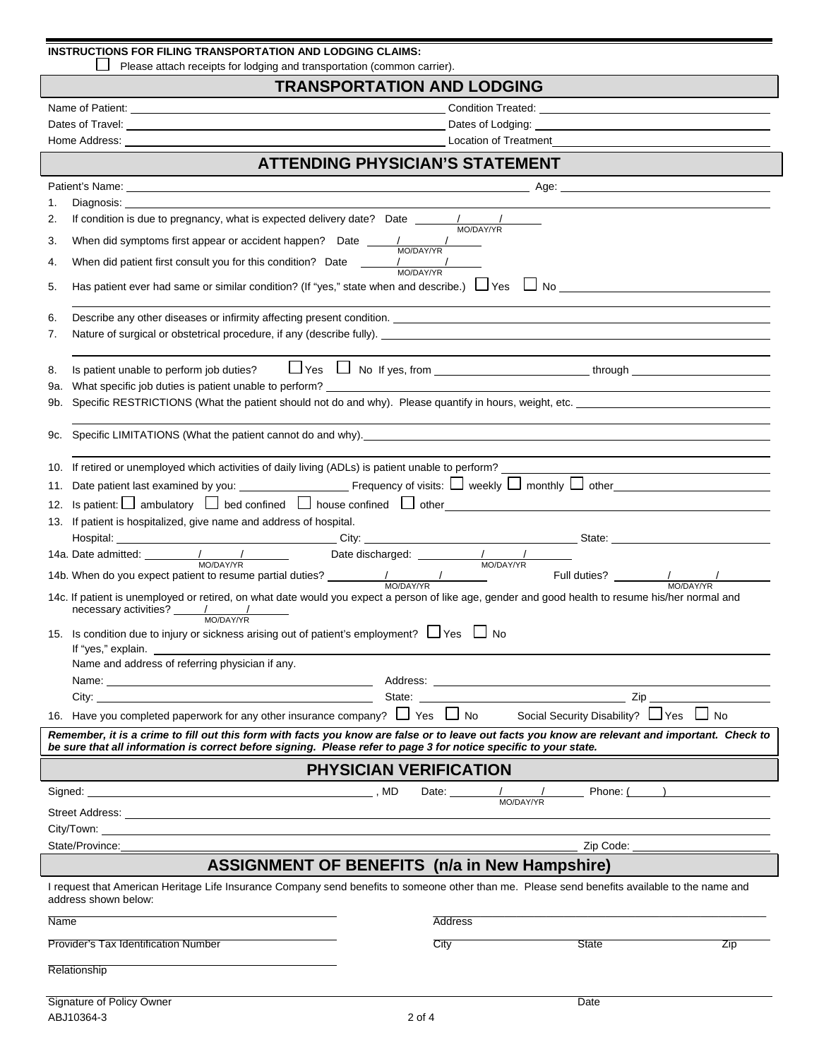| INSTRUCTIONS FOR FILING TRANSPORTATION AND LODGING CLAIMS: |
|------------------------------------------------------------|
|------------------------------------------------------------|

Please attach receipts for lodging and transportation (common carrier).

# **TRANSPORTATION AND LODGING**

| <b>ATTENDING PHYSICIAN'S STATEMENT</b>                                                                                                                                                                                                                                                                                                                                                                 |                                                                                                                                                                                                                                |  |  |  |  |  |  |  |
|--------------------------------------------------------------------------------------------------------------------------------------------------------------------------------------------------------------------------------------------------------------------------------------------------------------------------------------------------------------------------------------------------------|--------------------------------------------------------------------------------------------------------------------------------------------------------------------------------------------------------------------------------|--|--|--|--|--|--|--|
| Patient's Name: <u>experimental and the set of the set of the set of the set of the set of the set of the set of the set of the set of the set of the set of the set of the set of the set of the set of the set of the set of t</u>                                                                                                                                                                   | Age: 2008 2009 2012 2023 2024 2022 2023 2024 2022 2023 2024 2022 2023 2024 2022 2024 2022 2023 2024 2022 2023 20                                                                                                               |  |  |  |  |  |  |  |
| 1.                                                                                                                                                                                                                                                                                                                                                                                                     |                                                                                                                                                                                                                                |  |  |  |  |  |  |  |
| 2.                                                                                                                                                                                                                                                                                                                                                                                                     |                                                                                                                                                                                                                                |  |  |  |  |  |  |  |
| When did symptoms first appear or accident happen? Date $\frac{1}{\sqrt{1-\frac{1}{2}}\sqrt{1-\frac{1}{2}}\sqrt{1-\frac{1}{2}}}\sqrt{1-\frac{1}{2}}$<br>3.                                                                                                                                                                                                                                             |                                                                                                                                                                                                                                |  |  |  |  |  |  |  |
| When did patient first consult you for this condition? Date $\frac{1}{\text{MO}(\text{DA}Y/\text{TR})}$<br>4.                                                                                                                                                                                                                                                                                          |                                                                                                                                                                                                                                |  |  |  |  |  |  |  |
| 5.                                                                                                                                                                                                                                                                                                                                                                                                     | Has patient ever had same or similar condition? (If "yes," state when and describe.) $\Box$ Yes $\Box$ No                                                                                                                      |  |  |  |  |  |  |  |
| 6.                                                                                                                                                                                                                                                                                                                                                                                                     | Describe any other diseases or infirmity affecting present condition. Letter and the conditional condition of the condition of the condition of the condition of the condition of the condition of the condition of the condit |  |  |  |  |  |  |  |
| 7.                                                                                                                                                                                                                                                                                                                                                                                                     |                                                                                                                                                                                                                                |  |  |  |  |  |  |  |
| 8.<br>9а.                                                                                                                                                                                                                                                                                                                                                                                              | What specific job duties is patient unable to perform?                                                                                                                                                                         |  |  |  |  |  |  |  |
| 9b.                                                                                                                                                                                                                                                                                                                                                                                                    |                                                                                                                                                                                                                                |  |  |  |  |  |  |  |
| 9с.                                                                                                                                                                                                                                                                                                                                                                                                    | Specific LIMITATIONS (What the patient cannot do and why).<br>Specific LIMITATIONS (What the patient cannot do and why).                                                                                                       |  |  |  |  |  |  |  |
| If retired or unemployed which activities of daily living (ADLs) is patient unable to perform?<br>10.                                                                                                                                                                                                                                                                                                  |                                                                                                                                                                                                                                |  |  |  |  |  |  |  |
| 11.                                                                                                                                                                                                                                                                                                                                                                                                    |                                                                                                                                                                                                                                |  |  |  |  |  |  |  |
| 12.                                                                                                                                                                                                                                                                                                                                                                                                    | Is patient: $\Box$ ambulatory $\Box$ bed confined $\Box$ house confined $\Box$ other                                                                                                                                           |  |  |  |  |  |  |  |
| If patient is hospitalized, give name and address of hospital.<br>13.                                                                                                                                                                                                                                                                                                                                  |                                                                                                                                                                                                                                |  |  |  |  |  |  |  |
|                                                                                                                                                                                                                                                                                                                                                                                                        |                                                                                                                                                                                                                                |  |  |  |  |  |  |  |
|                                                                                                                                                                                                                                                                                                                                                                                                        | MO/DAY/YR MO/DAY/YR MO/DAY/YR MO/DAY/YR HAD. When do you expect patient to resume partial duties? MO/DAY/YR HAD. When do you expect patient to resume partial duties? MO/DAY/YR HAD. When do you expect patient to resume part |  |  |  |  |  |  |  |
| $n$ ecessary activities? $\frac{1}{1 - \frac{1}{1 - \frac{1}{1 - \frac{1}{1 - \frac{1}{1 - \frac{1}{1 - \frac{1}{1 - \frac{1}{1 - \frac{1}{1 - \frac{1}{1 - \frac{1}{1 - \frac{1}{1 - \frac{1}{1 - \frac{1}{1 - \frac{1}{1 - \frac{1}{1 - \frac{1}{1 - \frac{1}{1 - \frac{1}{1 - \frac{1}{1 - \frac{1}{1 - \frac{1}{1 - \frac{1}{1 - \frac{1}{1 - \frac{1}{1 - \frac{1}{1 - \frac{1}{1 - \frac{1}{1 -$ | 14c. If patient is unemployed or retired, on what date would you expect a person of like age, gender and good health to resume his/her normal and                                                                              |  |  |  |  |  |  |  |
| 15. Is condition due to injury or sickness arising out of patient's employment? $\Box$ Yes $\Box$ No<br>If "yes," explain.                                                                                                                                                                                                                                                                             |                                                                                                                                                                                                                                |  |  |  |  |  |  |  |
| Name and address of referring physician if any.                                                                                                                                                                                                                                                                                                                                                        |                                                                                                                                                                                                                                |  |  |  |  |  |  |  |
|                                                                                                                                                                                                                                                                                                                                                                                                        |                                                                                                                                                                                                                                |  |  |  |  |  |  |  |
| City: .                                                                                                                                                                                                                                                                                                                                                                                                | $\overline{\phantom{a}}$ Zip<br>State:                                                                                                                                                                                         |  |  |  |  |  |  |  |
| 16. Have you completed paperwork for any other insurance company? $\Box$ Yes $\Box$ No                                                                                                                                                                                                                                                                                                                 | Social Security Disability? $\Box$ Yes $\Box$ No                                                                                                                                                                               |  |  |  |  |  |  |  |
| Remember, it is a crime to fill out this form with facts you know are false or to leave out facts you know are relevant and important. Check to<br>be sure that all information is correct before signing. Please refer to page 3 for notice specific to your state.                                                                                                                                   |                                                                                                                                                                                                                                |  |  |  |  |  |  |  |
|                                                                                                                                                                                                                                                                                                                                                                                                        | <b>PHYSICIAN VERIFICATION</b>                                                                                                                                                                                                  |  |  |  |  |  |  |  |
|                                                                                                                                                                                                                                                                                                                                                                                                        | Date: $\frac{1}{\text{MO} / \text{DA} \text{Y} / \text{Y} \text{R}}$                                                                                                                                                           |  |  |  |  |  |  |  |
|                                                                                                                                                                                                                                                                                                                                                                                                        |                                                                                                                                                                                                                                |  |  |  |  |  |  |  |
|                                                                                                                                                                                                                                                                                                                                                                                                        |                                                                                                                                                                                                                                |  |  |  |  |  |  |  |
| State/Province:                                                                                                                                                                                                                                                                                                                                                                                        |                                                                                                                                                                                                                                |  |  |  |  |  |  |  |
| address shown below:                                                                                                                                                                                                                                                                                                                                                                                   | <b>ASSIGNMENT OF BENEFITS (n/a in New Hampshire)</b><br>I request that American Heritage Life Insurance Company send benefits to someone other than me. Please send benefits available to the name and                         |  |  |  |  |  |  |  |
| Name                                                                                                                                                                                                                                                                                                                                                                                                   | <b>Address</b>                                                                                                                                                                                                                 |  |  |  |  |  |  |  |
| Provider's Tax Identification Number                                                                                                                                                                                                                                                                                                                                                                   | City<br><b>State</b><br>Zip                                                                                                                                                                                                    |  |  |  |  |  |  |  |
|                                                                                                                                                                                                                                                                                                                                                                                                        |                                                                                                                                                                                                                                |  |  |  |  |  |  |  |
| Relationship                                                                                                                                                                                                                                                                                                                                                                                           |                                                                                                                                                                                                                                |  |  |  |  |  |  |  |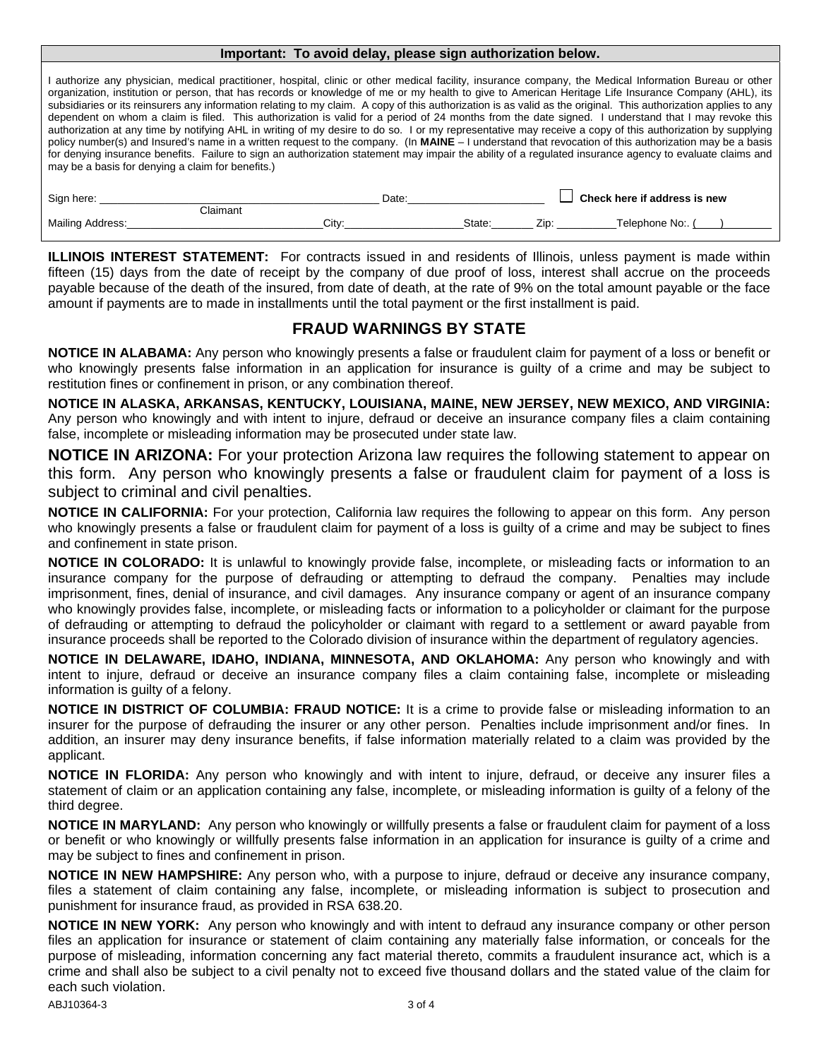#### **Important: To avoid delay, please sign authorization below.**

I authorize any physician, medical practitioner, hospital, clinic or other medical facility, insurance company, the Medical Information Bureau or other organization, institution or person, that has records or knowledge of me or my health to give to American Heritage Life Insurance Company (AHL), its subsidiaries or its reinsurers any information relating to my claim. A copy of this authorization is as valid as the original. This authorization applies to any dependent on whom a claim is filed. This authorization is valid for a period of 24 months from the date signed. I understand that I may revoke this authorization at any time by notifying AHL in writing of my desire to do so. I or my representative may receive a copy of this authorization by supplying policy number(s) and Insured's name in a written request to the company. (In **MAINE** – I understand that revocation of this authorization may be a basis for denying insurance benefits. Failure to sign an authorization statement may impair the ability of a regulated insurance agency to evaluate claims and may be a basis for denying a claim for benefits.)

| Sign here:       |           | Date  |        | Check here if address is new |                |  |
|------------------|-----------|-------|--------|------------------------------|----------------|--|
| Mailing Address: | ::laimant | Citv: | State: | Zip                          | Telephone No:. |  |

**ILLINOIS INTEREST STATEMENT:** For contracts issued in and residents of Illinois, unless payment is made within fifteen (15) days from the date of receipt by the company of due proof of loss, interest shall accrue on the proceeds payable because of the death of the insured, from date of death, at the rate of 9% on the total amount payable or the face amount if payments are to made in installments until the total payment or the first installment is paid.

# **FRAUD WARNINGS BY STATE**

**NOTICE IN ALABAMA:** Any person who knowingly presents a false or fraudulent claim for payment of a loss or benefit or who knowingly presents false information in an application for insurance is guilty of a crime and may be subject to restitution fines or confinement in prison, or any combination thereof.

**NOTICE IN ALASKA, ARKANSAS, KENTUCKY, LOUISIANA, MAINE, NEW JERSEY, NEW MEXICO, AND VIRGINIA:**  Any person who knowingly and with intent to injure, defraud or deceive an insurance company files a claim containing false, incomplete or misleading information may be prosecuted under state law.

**NOTICE IN ARIZONA:** For your protection Arizona law requires the following statement to appear on this form. Any person who knowingly presents a false or fraudulent claim for payment of a loss is subject to criminal and civil penalties.

**NOTICE IN CALIFORNIA:** For your protection, California law requires the following to appear on this form. Any person who knowingly presents a false or fraudulent claim for payment of a loss is guilty of a crime and may be subject to fines and confinement in state prison.

**NOTICE IN COLORADO:** It is unlawful to knowingly provide false, incomplete, or misleading facts or information to an insurance company for the purpose of defrauding or attempting to defraud the company. Penalties may include imprisonment, fines, denial of insurance, and civil damages. Any insurance company or agent of an insurance company who knowingly provides false, incomplete, or misleading facts or information to a policyholder or claimant for the purpose of defrauding or attempting to defraud the policyholder or claimant with regard to a settlement or award payable from insurance proceeds shall be reported to the Colorado division of insurance within the department of regulatory agencies.

**NOTICE IN DELAWARE, IDAHO, INDIANA, MINNESOTA, AND OKLAHOMA:** Any person who knowingly and with intent to injure, defraud or deceive an insurance company files a claim containing false, incomplete or misleading information is guilty of a felony.

**NOTICE IN DISTRICT OF COLUMBIA: FRAUD NOTICE:** It is a crime to provide false or misleading information to an insurer for the purpose of defrauding the insurer or any other person. Penalties include imprisonment and/or fines. In addition, an insurer may deny insurance benefits, if false information materially related to a claim was provided by the applicant.

**NOTICE IN FLORIDA:** Any person who knowingly and with intent to injure, defraud, or deceive any insurer files a statement of claim or an application containing any false, incomplete, or misleading information is guilty of a felony of the third degree.

**NOTICE IN MARYLAND:** Any person who knowingly or willfully presents a false or fraudulent claim for payment of a loss or benefit or who knowingly or willfully presents false information in an application for insurance is guilty of a crime and may be subject to fines and confinement in prison.

**NOTICE IN NEW HAMPSHIRE:** Any person who, with a purpose to injure, defraud or deceive any insurance company, files a statement of claim containing any false, incomplete, or misleading information is subject to prosecution and punishment for insurance fraud, as provided in RSA 638.20.

**NOTICE IN NEW YORK:** Any person who knowingly and with intent to defraud any insurance company or other person files an application for insurance or statement of claim containing any materially false information, or conceals for the purpose of misleading, information concerning any fact material thereto, commits a fraudulent insurance act, which is a crime and shall also be subject to a civil penalty not to exceed five thousand dollars and the stated value of the claim for each such violation.